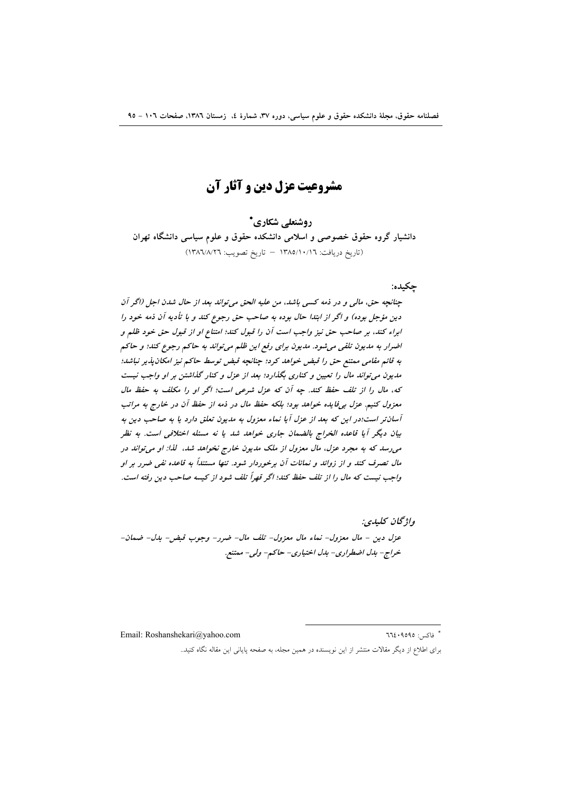# مشروعيت عزل دين و آثار آن

روشنعلے شکاری\*

دانشیار گروه حقوق خصوصی و اسلامی دانشکده حقوق و علوم سیاسی دانشگاه تهران (تاريخ دريافت: ١٣٨٥/١٠/١٦ - تاريخ تصويب: ١٣٨٦/٨/٢٦)

## حكىدە:

چنانچه حق، مالی و در ذمه کسی باشد، من علیه الحق می تواند بعد از حال شدن اجل (اگر آن دين مؤجل بوده) و اگر از ابتدا حال بوده به صاحب حق رجوع كند و با تأديه آن ذمه خود را ابراء كند، بر صاحب حق نيز واجب است آن را قبول كند؛ امتناع او از قبول حق خود ظلم و اضرار به مديون تلقى مى شود. مديون براى رفع اين ظلم مى تواند به حاكم رجوع كند؛ و حاكم به قائم مقامی ممتنع حق را قبض خواهد کرد؛ چنانچه قبض توسط حاکم نیز امکان پذیر نباشد؛ مدیون می تواند مال را تعیین و کناری بگذارد؛ بعد از عزل و کنار گذاشتن بر او واجب نیست كه، مال را از تلف حفظ كند. چه آن كه عزل شرعى است؛ اگر او را مكلف به حفظ مال معزول كنيم. عزل بي فايده خواهد بود؛ بلكه حفظ مال در ذمه از حفظ آن در خارج به مراتب آسان تر است؛در این که بعد از عزل آیا نماء معزول به مدیون تعلق دارد یا به صاحب دین به بيان ديگر آيا قاعده الخراج بالضمان جاري خواهد شد يا نه مسئله اختلافي است. به نظر می رسد که به مجرد عزل، مال معزول از ملک مدیون خارج نخواهد شد، گذا: او می تواند در مال تصرف کند و از زوائد و نمائات آن برخوردار شود. تنها مستنداً به قاعده نفی ضرر بر او واجب نیست که مال را از تلف حفظ کند؛ اگر قهراً تلف شود از کیسه صاحب دین رفته است.

واۋىچان كىلىدى: عزل دين - مال معزول- نماء مال معزول- تلف مال- ضرر- وجوب قبض- بدل- ضمان-خراج- بدل اضطراري- بدل اختياري- حاكم- ولي- ممتنع.

Email: Roshanshekari@yahoo.com

\* فاكس: ٩٥٩٥: ٦٦٤

برای اطلاع از دیگر مقالات منتشر از این نویسنده در همین مجله، به صفحه پایانی این مقاله نگاه کنید..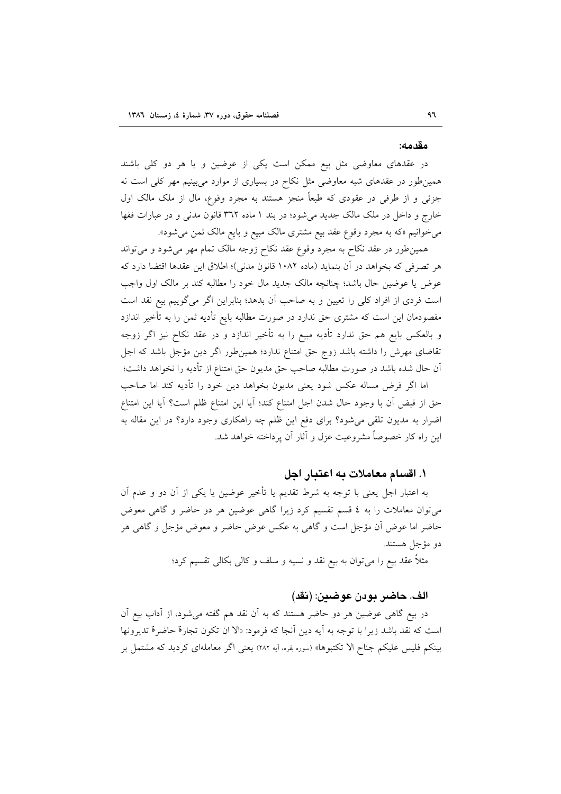#### مقدمه:

در عقدهای معاوضی مثل بیع ممکن است یکی از عوضین و یا هر دو کلی باشند همین طور در عقدهای شبه معاوضی مثل نکاح در بسیاری از موارد می بینیم مهر کلی است نه جزئی و از طرفی در عقودی که طبعاً منجز هستند به مجرد وقوع، مال از ملک مالک اول خارج و داخل در ملک مالک جدید میشود؛ در بند ۱ ماده ۳۹۲ قانون مدنی و در عبارات فقها می خوانیم «که به مجرد وقوع عقد بیع مشتری مالک مبیع و بایع مالک ثمن می شود».

همین طور در عقد نکاح به مجرد وقوع عقد نکاح زوجه مالک تمام مهر می شود و می تواند هر تصرفي كه بخواهد در آن بنمايد (ماده ١٠٨٢ قانون مدني)؛ اطلاق اين عقدها اقتضا دارد كه عوض يا عوضين حال باشد؛ چنانچه مالک جديد مال خود را مطالبه کند بر مالک اول واجب است فردی از افراد کلی را تعیین و به صاحب آن بدهد؛ بنابراین اگر میگوییم بیع نقد است مقصودمان این است که مشتری حق ندارد در صورت مطالبه بایع تأدیه ثمن را به تأخیر اندازد و بالعکس بایع هم حق ندارد تأدیه مبیع را به تأخیر اندازد و در عقد نکاح نیز اگر زوجه تقاضای مهرش را داشته باشد زوج حق امتناع ندارد؛ همین طور اگر دین مؤجل باشد که اجل آن حال شده باشد در صورت مطالبه صاحب حق مديون حق امتناع از تأديه را نخواهد داشت؛

اما اگر فرض مساله عکس شود یعنی مدیون بخواهد دین خود را تأدیه کند اما صاحب حق از قبض آن با وجود حال شدن اجل امتناع كند؛ آيا اين امتناع ظلم است؟ آيا اين امتناع اضرار به مدیون تلقی میشود؟ برای دفع این ظلم چه راهکاری وجود دارد؟ در این مقاله به این راه کار خصوصاً مشروعیت عزل و آثار آن یرداخته خواهد شد.

## ۱. اقسام معاملات به اعتبار اجل

به اعتبار اجل یعنی با توجه به شرط تقدیم یا تأخیر عوضین یا یکی از آن دو و عدم آن می توان معاملات را به ٤ قسم تقسیم کرد زیرا گاهی عوضین هر دو حاضر و گاهی معوض حاضر اما عوض أن مؤجل است و گاهي به عكس عوض حاضر و معوض مؤجل و گاهي هر دو مؤجل هستند.

مثلاً عقد بيع را مي توان به بيع نقد و نسيه و سلف و كالي بكالي تقسيم كرد؛

#### الف. حاضر بودن عوضين: (نقد)

در بیع گاهی عوضین هر دو حاضر هستند که به اَن نقد هم گفته میشود، از اَداب بیع اَن است كه نقد باشد زيرا با توجه به آيه دين أنجا كه فرمود: «الا ان تكون تجارة حاضرة تديرونها بینکم فلیس علیکم جناح الا تکتبوها» (سوره بقره، آیه ۲۸۲) یعنی اگر معاملهای کردید که مشتمل بر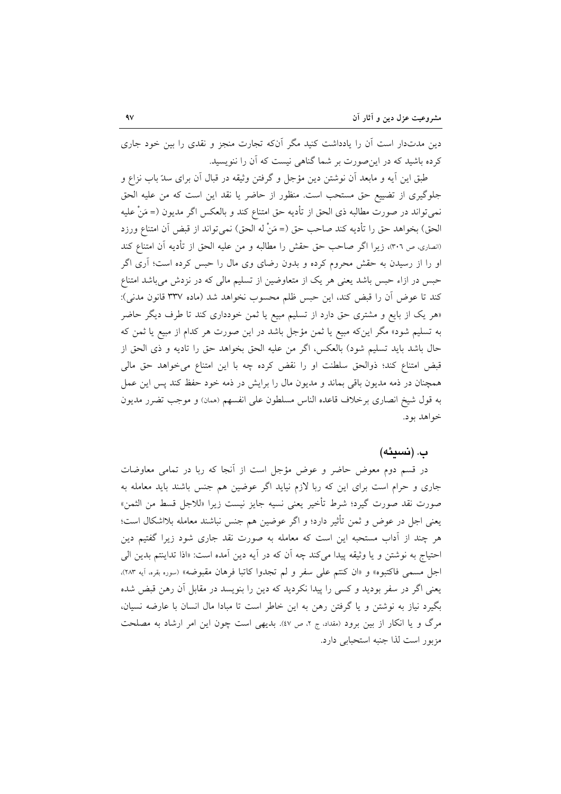دین مدتدار است آن را یادداشت کنید مگر آنکه تجارت منجز و نقدی را بین خود جاری کرده باشید که در این صورت بر شما گناهی نیست که آن را ننویسید.

طبق این آیه و مابعد آن نوشتن دین مؤجل و گرفتن وثیقه در قبال آن برای سدّ باب نزاع و جلوگیری از تضییع حق مستحب است. منظور از حاضر یا نقد این است که من علیه الحق نمي تواند در صورت مطالبه ذي الحق از تأديه حق امتناع كند و بالعكس اگر مديون (= مَنْ عليه الحق) بخواهد حق را تأديه كند صاحب حق (= مَنْ له الحق) نمي تواند از قبض آن امتناع ورزد (انصارى، ص ٣٠٦)، زيرا اگر صاحب حق حقش را مطالبه و من عليه الحق از تأديه آن امتناع كند او را از رسیدن به حقش محروم کرده و بدون رضای وی مال را حبس کرده است؛ آری اگر حبس در ازاء حبس باشد یعنی هر یک از متعاوضین از تسلیم مالی که در نزدش می باشد امتناع كند تا عوض أن را قبض كند، اين حبس ظلم محسوب نخواهد شد (ماده ٣٣٧ قانون مدني): «هر یک از بایع و مشتری حق دارد از تسلیم مبیع یا ثمن خودداری کند تا طرف دیگر حاضر به تسلیم شود» مگر اینکه مبیع یا ثمن مؤجل باشد در این صورت هر کدام از مبیع یا ثمن که حال باشد بايد تسليم شود) بالعكس، اگر من عليه الحق بخواهد حق را تاديه و ذي الحق از قبض امتناع كند؛ ذوالحق سلطنت او را نقض كرده چه با اين امتناع مي خواهد حق مالي همچنان در ذمه مدیون باقی بماند و مدیون مال را برایش در ذمه خود حفظ کند پس این عمل به قول شيخ انصاري برخلاف قاعده الناس مسلطون على انفسهم (ممان) و موجب تضرر مديون خواهد بود.

## ب. (نسىئە)

در قسم دوم معوض حاضر و عوض مؤجل است از آنجا که ربا در تمامی معاوضات جاری و حرام است برای این که ربا لازم نیاید اگر عوضین هم جنس باشند باید معامله به صورت نقد صورت گيرد؛ شرط تأخير يعني نسبه جايز نيست زيرا «للاجل قسط من الثمن» يعني اجل در عوض و ثمن تأثير دارد؛ و اگر عوضين هم جنس نباشند معامله بلااشكال است؛ هر چند از آداب مستحبه این است که معامله به صورت نقد جاری شود زیرا گفتیم دین احتياج به نوشتن و يا وثيقه پيدا مي كند چه آن كه در آيه دين آمده است: «اذا تداينتم بدين الي اجل مسمى فاكتبوه» و «ان كنتم على سفرٍ و لم تجدوا كاتبا فرهان مقبوضه» (سوره بقره، أيه ٢٨٣). یعنی اگر در سفر بودید و کسی را پیدا نکردید که دین را بنویسد در مقابل آن رهن قبض شده بگیرد نیاز به نوشتن و یا گرفتن رهن به این خاطر است تا مبادا مال انسان با عارضه نسیان، مرگ و یا انکار از بین برود (مقداد، ج ۲، ص ٤٧). بدیهی است چون این امر ارشاد به مصلحت مزبور است لذا جنبه استحبابي دارد.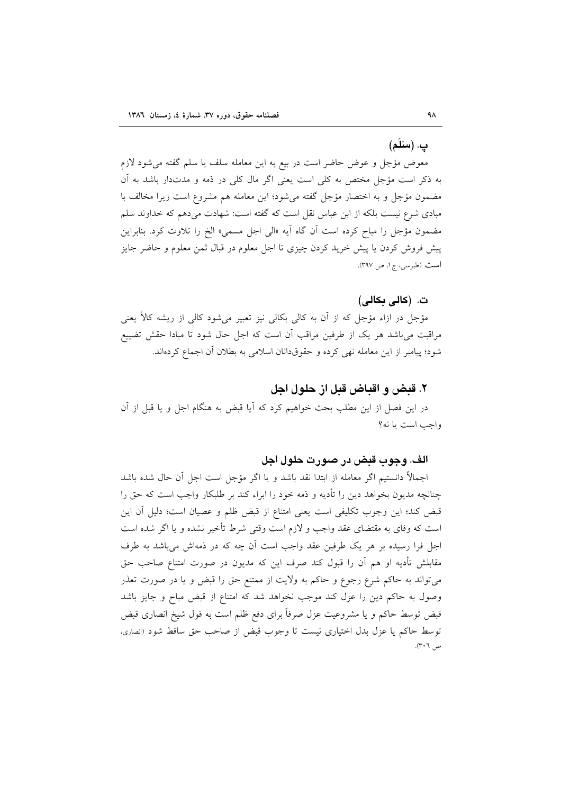## ب. (سَلَمَ)

معوض مؤجل و عوض حاضر است در بیع به این معامله سلف یا سلم گفته میشود لازم به ذکر است مؤجل مختص به کلی است یعنی اگر مال کلی در ذمه و مدتدار باشد به آن مضمون مؤجل و به اختصار مؤجل گفته می شود؛ این معامله هم مشروع است زیرا مخالف با مبادی شرع نیست بلکه از ابن عباس نقل است که گفته است: شهادت میدهم که خداوند سلم مضمون مؤجل را مباح کرده است آن گاه آيه «الي اجل مسمى» الخ را تلاوت کرد. بنابراين پیش فروش کردن یا پیش خرید کردن چیزی تا اجل معلوم در قبال ثمن معلوم و حاضر جایز است (طبرسی، ج۱، ص ۳۹۷).

## ت. (كالى بكالى)

مؤجل در ازاء مؤجل که از آن به کالی بکالی نیز تعبیر میشود کالی از ریشه کالأ یعنی مراقبت می باشد هر یک از طرفین مراقب آن است که اجل حال شود تا مبادا حقش تضییع شود؛ پیامبر از این معامله نهی کرده و حقوقدانان اسلامی به بطلان آن اجماع کردهاند.

## ۲. قبض و اقباض قبل از حلول اجل

در این فصل از این مطلب بحث خواهیم کرد که آیا قبض به هنگام اجل و یا قبل از آن واجب است یا نه؟

## الف. وجوب قبض در صورت حلول اجل

اجمالاً دانستیم اگر معامله از ابتدا نقد باشد و یا اگر مؤجل است اجل آن حال شده باشد چنانچه مدیون بخواهد دین را تأدیه و ذمه خود را ابراء کند بر طلبکار واجب است که حق را قبض كند؛ اين وجوب تكليفي است يعني امتناع از قبض ظلم و عصيان است؛ دليل آن اين است که وفای به مقتضای عقد واجب و لازم است وقتی شرط تأخیر نشده و یا اگر شده است اجل فرا رسیده بر هر یک طرفین عقد واجب است آن چه که در ذمهاش میباشد به طرف مقابلش تأدیه او هم آن را قبول کند صرف این که مدیون در صورت امتناع صاحب حق میتواند به حاکم شرع رجوع و حاکم به ولایت از ممتنع حق را قبض و یا در صورت تعذر وصول به حاکم دین را عزل کند موجب نخواهد شد که امتناع از قبض مباح و جایز باشد قبض توسط حاکم و یا مشروعیت عزل صرفاً برای دفع ظلم است به قول شیخ انصاری قبض توسط حاكم يا عزل بدل اختياري نيست تا وجوب قبض از صاحب حق ساقط شود (انصارى، ص ٣٠٦).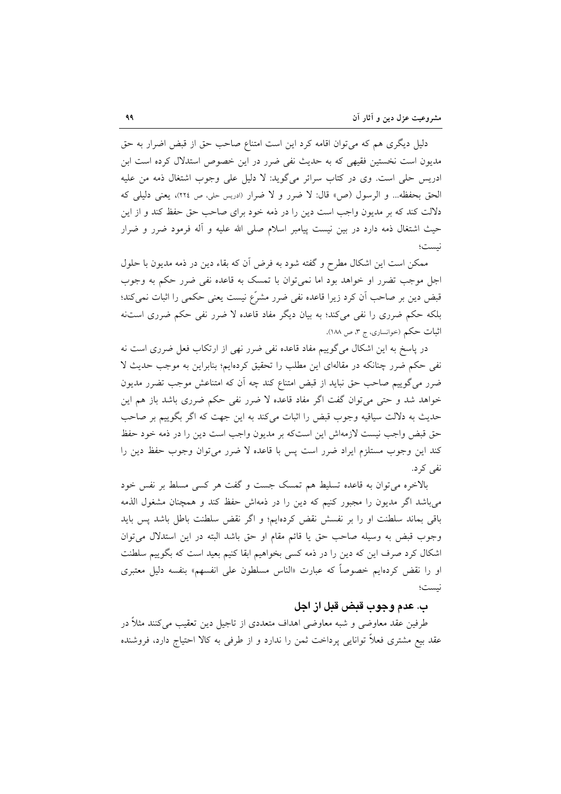دلیل دیگری هم که می توان اقامه کرد این است امتناع صاحب حق از قبض اضرار به حق مدیون است نخستین فقیهی که به حدیث نفی ضرر در این خصوص استدلال کرده است ابن ادریس حلی است. وی در کتاب سرائر میگوید: لا دلیل علی وجوب اشتغال ذمه من علیه الحق بحفظه... و الرسول (ص» قال: لا ضرر و لا ضرار (ادریس حلی، ص ٢٢٤)، یعنی دلیلی که دلالت کند که بر مدیون واجب است دین را در ذمه خود برای صاحب حق حفظ کند و از این حیث اشتغال ذمه دارد در بین نیست پیامبر اسلام صلی الله علیه و آله فرمود ضرر و ضرار نست؛

ممکن است این اشکال مطرح و گفته شود به فرض آن که بقاء دین در ذمه مدیون با حلول اجل موجب تضرر او خواهد بود اما نمیتوان با تمسک به قاعده نفی ضرر حکم به وجوب قبض دین بر صاحب اَن کرد زیرا قاعده نفی ضرر مشرّع نیست یعنی حکمی را اثبات نمی کند؛ بلکه حکم ضرری را نفی میکند؛ به بیان دیگر مفاد قاعده لا ضرر نفی حکم ضرری استنه اثبات حکم (خوانساری، ج ۳، ص ۱۸۸).

در پاسخ به این اشکال می گوییم مفاد قاعده نفی ضرر نهی از ارتکاب فعل ضرری است نه نفی حکم ضرر چنانکه در مقالهای این مطلب را تحقیق کردهایم؛ بنابراین به موجب حدیث لا ضرر میگوییم صاحب حق نباید از قبض امتناع کند چه آن که امتناعش موجب تضرر مدیون خواهد شد و حتی می توان گفت اگر مفاد قاعده لا ضرر نفی حکم ضرری باشد باز هم این حديث به دلالت سياقيه وجوب قبض را اثبات مي كند به اين جهت كه اگر بگوييم بر صاحب حق قبض واجب نيست لازمهاش اين استكه بر مديون واجب است دين را در ذمه خود حفظ كند اين وجوب مستلزم ايراد ضرر است پس با قاعده لا ضرر مي توان وجوب حفظ دين را نفي کر د.

بالاخره می توان به قاعده تسلیط هم تمسک جست و گفت هر کسی مسلط بر نفس خود می باشد اگر مدیون را مجبور کنیم که دین را در ذمهاش حفظ کند و همچنان مشغول الذمه باقی بماند سلطنت او را بر نفسش نقض کردهایم؛ و اگر نقض سلطنت باطل باشد پس باید وجوب قبض به وسيله صاحب حق يا قائم مقام او حق باشد البته در اين استدلال مي توان اشکال کرد صرف این که دین را در ذمه کسی بخواهیم ابقا کنیم بعید است که بگوییم سلطنت او را نقض کردهایم خصوصاً که عبارت «الناس مسلطون علی انفسهم» بنفسه دلیل معتبری نيست؛

## ب. عدم وجوب قبض قبل از اجل

طرفین عقد معاوضی و شبه معاوضی اهداف متعددی از تاجیل دین تعقیب می کنند مثلاً در عقد بیع مشتری فعلاً توانایی پرداخت ثمن را ندارد و از طرفی به کالا احتیاج دارد، فروشنده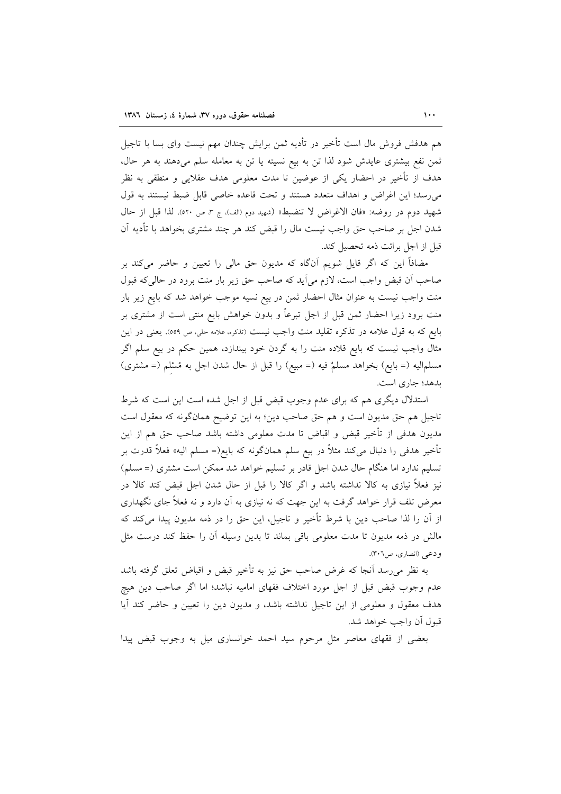هم هدفش فروش مال است تأخير در تأديه ثمن برايش چندان مهم نيست واي بسا با تاجيل ثمن نفع بیشتری عایدش شود لذا تن به بیع نسیئه یا تن به معامله سلم میدهند به هر حال، هدف از تأخیر در احضار یکی از عوضین تا مدت معلومی هدف عقلایی و منطقی به نظر می رسد؛ این اغراض و اهداف متعدد هستند و تحت قاعده خاصی قابل ضبط نیستند به قول شهيد دوم در روضه: «فان الاغراض لا تنضبط» (شهيد دوم (الف)، ج ٣، ص ٥٢٠). لذا قبل از حال شدن اجل بر صاحب حق واجب نیست مال را قبض کند هر چند مشتری بخواهد با تأدیه آن قبل از اجل برائت ذمه تحصيل كند.

مضافاً این که اگر قایل شویم آنگاه که مدیون حق مالی را تعیین و حاضر میکند بر صاحب أن قبض واجب است، لازم مي آيد كه صاحب حق زير بار منت برود در حاليكه قبول منت واجب نیست به عنوان مثال احضار ثمن در بیع نسیه موجب خواهد شد که بایع زیر بار منت برود زیرا احضار ثمن قبل از اجل تبرعاً و بدون خواهش بایع منتی است از مشتری بر بایع که به قول علامه در تذکره تقلید منت واجب نیست (تذکره، علامه حلی، ص ٥٥٩). یعنی در این مثال واجب نیست که بایع قلاده منت را به گردن خود بیندازد، همین حکم در بیع سلم اگر مسلماليه (= بايع) بخواهد مسلمٌ فيه (= مبيع) را قبل از حال شدن اجل به مُسْلم (= مشترى) بدهد؛ جاري است.

استدلال دیگری هم که برای عدم وجوب قبض قبل از اجل شده است این است که شرط تاجیل هم حق مدیون است و هم حق صاحب دین؛ به این توضیح همانگونه که معقول است مدیون هدفی از تأخیر قبض و اقباض تا مدت معلومی داشته باشد صاحب حق هم از این تأخیر هدفی را دنبال میکند مثلاً در بیع سلم همانگونه که بایع(= مسلم الیه» فعلاً قدرت بر تسلیم ندارد اما هنگام حال شدن اجل قادر بر تسلیم خواهد شد ممکن است مشتری (= مسلم) نیز فعلاً نیازی به کالا نداشته باشد و اگر کالا را قبل از حال شدن اجل قبض کند کالا در معرض تلف قرار خواهد گرفت به این جهت که نه نیازی به آن دارد و نه فعلاً جای نگهداری از اّن را لذا صاحب دین با شرط تأخیر و تاجیل، این حق را در ذمه مدیون پیدا میکند که مالش در ذمه مديون تا مدت معلومي باقي بماند تا بدين وسيله آن را حفظ كند درست مثل و دعي (انصاري، ص٣٠٦).

به نظر می٫رسد آنجا که غرض صاحب حق نیز به تأخیر قبض و اقباض تعلق گرفته باشد عدم وجوب قبض قبل از اجل مورد اختلاف فقهاى اماميه نباشد؛ اما اگر صاحب دين هيچ هدف معقول و معلومی از این تاجیل نداشته باشد، و مدیون دین را تعیین و حاضر کند آیا قبول أن واجب خواهد شد.

بعضی از فقهای معاصر مثل مرحوم سید احمد خوانساری میل به وجوب قبض پیدا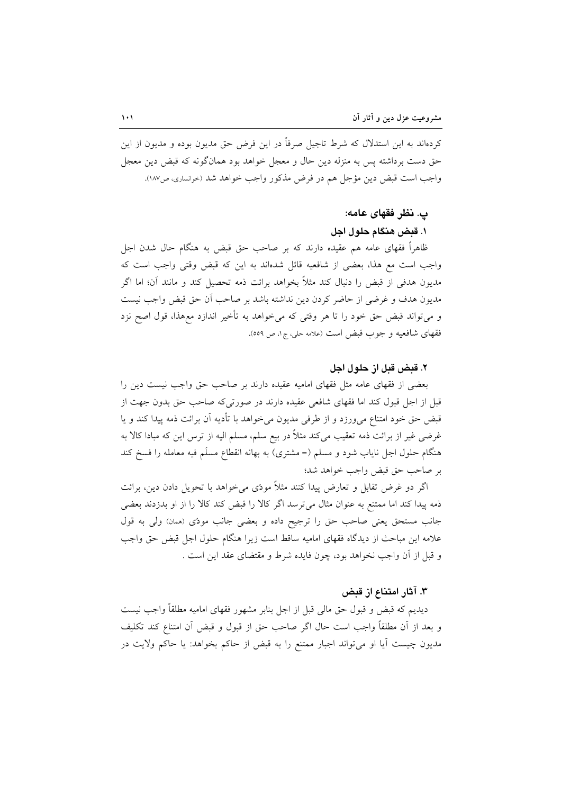کردهاند به این استدلال که شرط تاجیل صرفاً در این فرض حق مدیون بوده و مدیون از این حق دست برداشته پس به منزله دین حال و معجل خواهد بود همانگونه که قبض دین معجل واجب است قبض دين مؤجل هم در فرض مذكور واجب خواهد شد (حوانسارى، ص١٨٧).

# پ. نظر فقهای عامه:

## ١. قبض هنگام حلول اجل

ظاهراً فقهای عامه هم عقیده دارند که بر صاحب حق قبض به هنگام حال شدن اجل واجب است مع هذا، بعضي از شافعيه قائل شدهاند به اين كه قبض وقتي واجب است كه مدیون هدفی از قبض را دنبال کند مثلاً بخواهد برائت ذمه تحصیل کند و مانند آن؛ اما اگر مديون هدف و غرضي از حاضر كردن دين نداشته باشد بر صاحب أن حق قبض واجب نيست و میتواند قبض حق خود را تا هر وقتی که میخواهد به تأخیر اندازد معهذا، قول اصح نزد فقهای شافعیه و جوب قبض است (علامه حلی، ج۱، ص ٥٥٩).

## ٢. قبض قبل از حلول اجل

بعضی از فقهای عامه مثل فقهای امامیه عقیده دارند بر صاحب حق واجب نیست دین را قبل از اجل قبول کند اما فقهای شافعی عقیده دارند در صورتیکه صاحب حق بدون جهت از قبض حق خود امتناع می ورزد و از طرفی مدیون می خواهد با تأدیه آن برائت ذمه پیدا کند و پا غرضی غیر از برائت ذمه تعقیب میکند مثلاً در بیع سلم، مسلم الیه از ترس این که مبادا کالا به هنگام حلول اجل نایاب شود و مسلم (= مشتری) به بهانه انقطاع مسلَم فیه معامله را فسخ کند بر صاحب حق قبض واجب خواهد شد؛

اگر دو غرض تقابل و تعارض پیدا کنند مثلاً مودی میخواهد با تحویل دادن دین، برائت ذمه پیدا کند اما ممتنع به عنوان مثال می ترسد اگر کالا را قبض کند کالا را از او بدزدند بعضی جانب مستحق يعني صاحب حق را ترجيح داده و بعضي جانب مودّى (همان) ولي به قول علامه این مباحث از دیدگاه فقهای امامیه ساقط است زیرا هنگام حلول اجل قبض حق واجب و قبل از أن واجب نخواهد بود، چون فايده شرط و مقتضاى عقد اين است .

## ۳. آثار امتناع از قبض

دیدیم که قبض و قبول حق مالی قبل از اجل بنابر مشهور فقهای امامیه مطلقاً واجب نیست و بعد از أن مطلقاً واجب است حال اگر صاحب حق از قبول و قبض أن امتناع كند تكليف مديون چيست آيا او مي تواند اجبار ممتنع را به قبض از حاكم بخواهد: يا حاكم ولايت در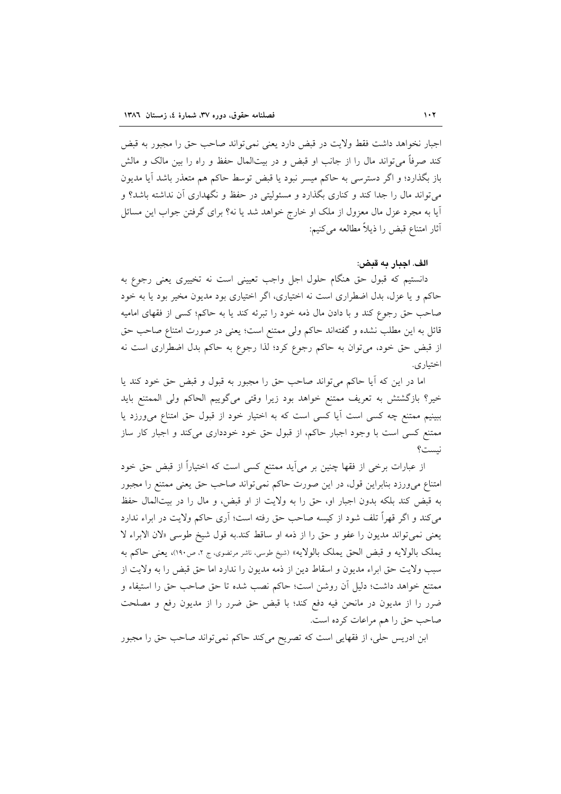اجبار نخواهد داشت فقط ولايت در قبض دارد يعني نمي تواند صاحب حق را مجبور به قبض کند صرفاً می تواند مال را از جانب او قبض و در بیتالمال حفظ و راه را بین مالک و مالش باز بگذارد؛ و اگر دسترسی به حاکم میسر نبود یا قبض توسط حاکم هم متعذر باشد آیا مدیون میتواند مال را جدا کند و کناری بگذارد و مسئولیتی در حفظ و نگهداری آن نداشته باشد؟ و آیا به مجرد عزل مال معزول از ملک او خارج خواهد شد یا نه؟ برای گرفتن جواب این مسائل آثار امتناع قبض را ذيلاً مطالعه مي كنيم:

### الف. اجبار به قبض:

دانستیم که قبول حق هنگام حلول اجل واجب تعیینی است نه تخییری یعنی رجوع به حاکم و یا عزل، بدل اضطراری است نه اختیاری، اگر اختیاری بود مدیون مخیر بود یا به خود صاحب حق رجوع كند و با دادن مال ذمه خود را تبرئه كند يا به حاكم؛ كسى از فقهاى اماميه قائل به این مطلب نشده و گفتهاند حاکم ولی ممتنع است؛ یعنی در صورت امتناع صاحب حق از قبض حق خود، می توان به حاکم رجوع کرد؛ لذا رجوع به حاکم بدل اضطراری است نه اختياري.

اما در این که آیا حاکم می تواند صاحب حق را مجبور به قبول و قبض حق خود کند یا خير؟ بازگشتش به تعريف ممتنع خواهد بود زيرا وقتى مى گوييم الحاكم ولى الممتنع بايد ببینیم ممتنع چه کسی است أیا کسی است که به اختیار خود از قبول حق امتناع میورزد یا ممتنع کسی است با وجود اجبار حاکم، از قبول حق خود خودداری میکند و اجبار کار ساز نست؟

از عبارات برخی از فقها چنین بر می[ید ممتنع کسی است که اختیاراً از قبض حق خود امتناع می ورزد بنابراین قول، در این صورت حاکم نمی تواند صاحب حق یعنی ممتنع را مجبور به قبض كند بلكه بدون اجبار او، حق را به ولايت از او قبض، و مال را در بيتالمال حفظ م ٍکند و اگر قهراً تلف شود از کیسه صاحب حق رفته است؛ اَری حاکم ولایت در ابراء ندارد يعني نمي تواند مديون را عفو و حق را از ذمه او ساقط كند.به قول شيخ طوسي «لان الابراء لا يملک بالولايه و قبض الحق يملک بالولايه» (شيخ طوسى، ناشر مرتضوى، ج ٢، ص١٩٠)، يعني حاكم به سبب ولايت حق ابراء مديون و اسقاط دين از ذمه مديون را ندارد اما حق قبض را به ولايت از ممتنع خواهد داشت؛ دلیل اَن روشن است؛ حاکم نصب شده تا حق صاحب حق را استیفاء و ضرر را از مدیون در مانحن فیه دفع کند؛ با قبض حق ضرر را از مدیون رفع و مصلحت صاحب حق را هم مراعات كرده است.

ابن ادریس حلی، از فقهایی است که تصریح میکند حاکم نمی تواند صاحب حق را مجبور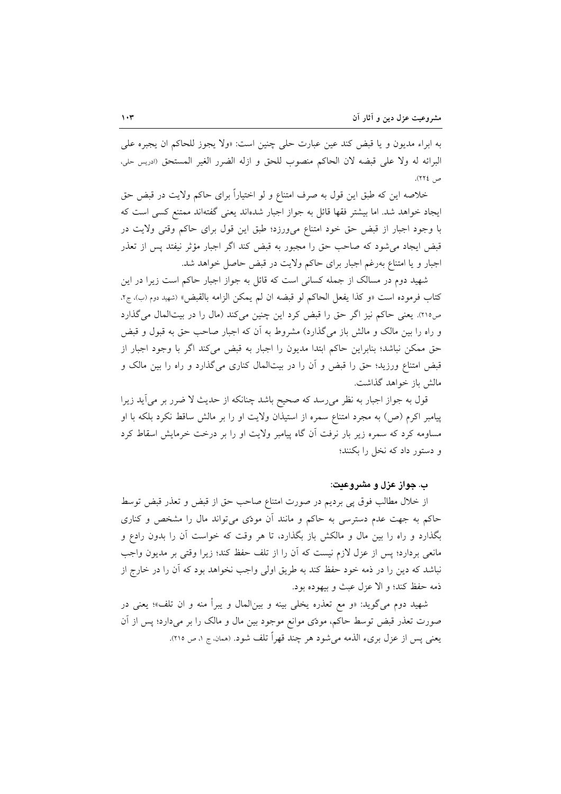به ابراء مديون و يا قبض كند عين عبارت حلى چنين است: «ولا يجوز للحاكم ان يجبره على البرائه له ولا على قبضه لان الحاكم منصوب للحق و ازله الضرر الغير المستحق (ادريس حلي، ص ٢٢٤).

خلاصه این که طبق این قول به صرف امتناع و لو اختیاراً برای حاکم ولایت در قبض حق ایجاد خواهد شد. اما بیشتر فقها قائل به جواز اجبار شدهاند یعنی گفتهاند ممتنع کسی است که با وجود اجبار از قبض حق خود امتناع میورزد؛ طبق این قول برای حاکم وقتی ولایت در قبض ایجاد می شود که صاحب حق را مجبور به قبض کند اگر اجبار مؤثر نیفتد پس از تعذر اجبار و یا امتناع بهرغم اجبار برای حاکم ولایت در قبض حاصل خواهد شد.

شهید دوم در مسالک از جمله کسانی است که قائل به جواز اجبار حاکم است زیرا در این كتابٍ فرموده است «و كذا يفعل الحاكم لو قبضه ان لم يمكن الزامه بالقبض» (شهيد دوم (ب)، جr، ص٢١٥). يعني حاكم نيز اگر حق را قبض كرد اين چنين ميكند (مال را در بيتالمال ميگذارد و راه را بین مالک و مالش باز میگذارد) مشروط به أن که اجبار صاحب حق به قبول و قبض حق ممكن نباشد؛ بنابراين حاكم ابتدا مديون را اجبار به قبض مى كند اگر با وجود اجبار از قبض امتناع ورزید؛ حق را قبض و آن را در بیتالمال کناری میگذارد و راه را بین مالک و مالش باز خواهد گذاشت.

قول به جواز اجبار به نظر می٫سد که صحیح باشد چنانکه از حدیث لا ضرر بر می]ید زیرا پیامبر اکرم (ص) به مجرد امتناع سمره از استیذان ولایت او را بر مالش ساقط نکرد بلکه با او مساومه کرد که سمره زیر بار نرفت آن گاه پیامبر ولایت او را بر درخت خرمایش اسقاط کرد و دستور داد که نخل را بکنند؛

## ب. جواز عزل و مشروعیت:

از خلال مطالب فوق پی بردیم در صورت امتناع صاحب حق از قبض و تعذر قبض توسط حاکم به جهت عدم دسترسی به حاکم و مانند آن مودّی میتواند مال را مشخص و کناری بگذارد و راه را بین مال و مالکش باز بگذارد، تا هر وقت که خواست آن را بدون رادع و مانعي بردارد؛ پس از عزل لازم نيست كه آن را از تلف حفظ كند؛ زيرا وقتي بر مديون واجب نباشد که دین را در ذمه خود حفظ کند به طریق اولی واجب نخواهد بود که آن را در خارج از ذمه حفظ كند؛ و الا عزل عبث و بيهوده بود.

شهيد دوم مي گويد: «و مع تعذره يخلي بينه و بين|لمال و يبرأ منه و ان تلف»؛ يعني در صورت تعذر قبض توسط حاکم، مودّى موانع موجود بين مال و مالک را بر مىدارد؛ پس از آن يعني پس از عزل بريء الذمه مي شود هر چند قهراً تلف شود. (همان، ج ۱، ص ۲۱۵).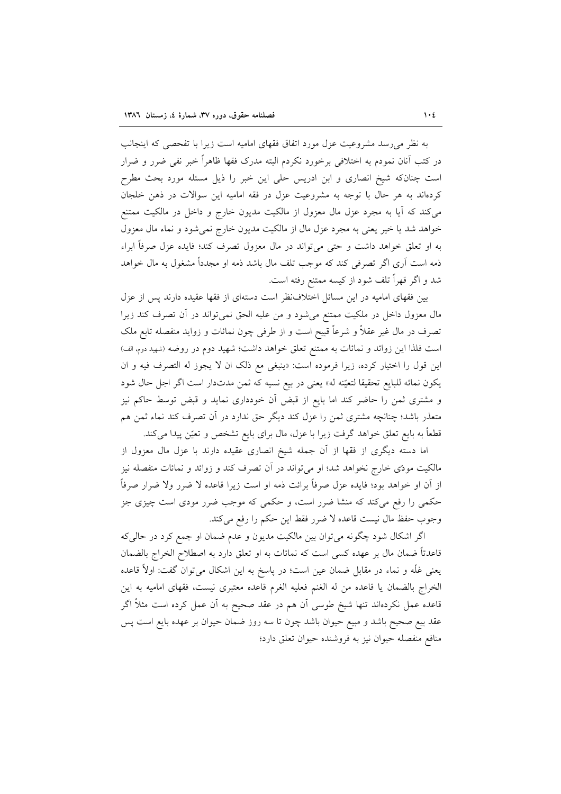به نظر می رسد مشروعیت عزل مورد اتفاق فقهای امامیه است زیرا با تفحصی که اینجانب در کتب آنان نمودم به اختلافی برخورد نکردم البته مدرک فقها ظاهراً خبر نفی ضرر و ضرار است چنانکه شیخ انصاری و ابن ادریس حلی این خبر را ذیل مسئله مورد بحث مطرح کردهاند به هر حال با توجه به مشروعیت عزل در فقه امامیه این سوالات در ذهن خلجان می کند که آیا به مجرد عزل مال معزول از مالکیت مدیون خارج و داخل در مالکیت ممتنع خواهد شد یا خیر یعنی به مجرد عزل مال از مالکیت مدیون خارج نمیشود و نماء مال معزول به او تعلق خواهد داشت و حتى مىتواند در مال معزول تصرف كند؛ فايده عزل صرفاً ابراء ذمه است آری اگر تصرفی کند که موجب تلف مال باشد ذمه او مجدداً مشغول به مال خواهد شد و اگر قهراً تلف شود از کیسه ممتنع رفته است.

بین فقهای امامیه در این مسائل اختلاف نظر است دستهای از فقها عقیده دارند پس از عزل مال معزول داخل در ملکیت ممتنع میشود و من علیه الحق نمیتواند در آن تصرف کند زیرا تصرف در مال غیر عقلاً و شرعاً قبیح است و از طرفی چون نمائات و زواید منفصله تابع ملک است فلذا این زوائد و نمائات به ممتنع تعلق خواهد داشت؛ شهید دوم در روضه (شهید دوم الف) اين قول را اختيار كرده، زيرا فرموده است: «ينبغي مع ذلك ان لا يجوز له التصرف فيه و ان يكون نمائه للبايع تحقيقا لتعيّنه له» يعني در بيع نسيه كه ثمن مدتدار است اگر اجل حال شود و مشتری ثمن را حاضر کند اما بایع از قبض آن خودداری نماید و قبض توسط حاکم نیز متعذر باشد؛ چنانچه مشتری ثمن را عزل کند دیگر حق ندارد در آن تصرف کند نماء ثمن هم قطعاً به بایع تعلق خواهد گرفت زیرا با عزل، مال برای بایع تشخص و تعیّن پیدا میکند.

اما دسته دیگری از فقها از آن جمله شیخ انصاری عقیده دارند با عزل مال معزول از مالکیت مودّی خارج نخواهد شد؛ او میٍتواند در آن تصرف کند و زوائد و نمائات منفصله نیز از آن او خواهد بود؛ فایده عزل صرفاً برائت ذمه او است زیرا قاعده لا ضرر ولا ضرار صرفاً حکمی را رفع میکند که منشا ضرر است، و حکمی که موجب ضرر مودی است چیزی جز وجوب حفظ مال نيست قاعده لا ضرر فقط اين حكم را رفع مي كند.

اگر اشکال شود چگونه میٍتوان بین مالکیت مدیون و عدم ضمان او جمع کرد در حالیِکه قاعدتاً ضمان مال بر عهده کسی است که نمائات به او تعلق دارد به اصطلاح الخراج بالضمان یعنی غلّه و نماء در مقابل ضمان عین است؛ در پاسخ به این اشکال میتوان گفت: اولاً قاعده الخراج بالضمان يا قاعده من له الغنم فعليه الغرم قاعده معتبرى نيست، فقهاى اماميه به اين قاعده عمل نکردهاند تنها شیخ طوسی آن هم در عقد صحیح به آن عمل کرده است مثلاً اگر عقد بیع صحیح باشد و مبیع حیوان باشد چون تا سه روز ضمان حیوان بر عهده بایع است پس منافع منفصله حيوان نيز به فروشنده حيوان تعلق دارد؛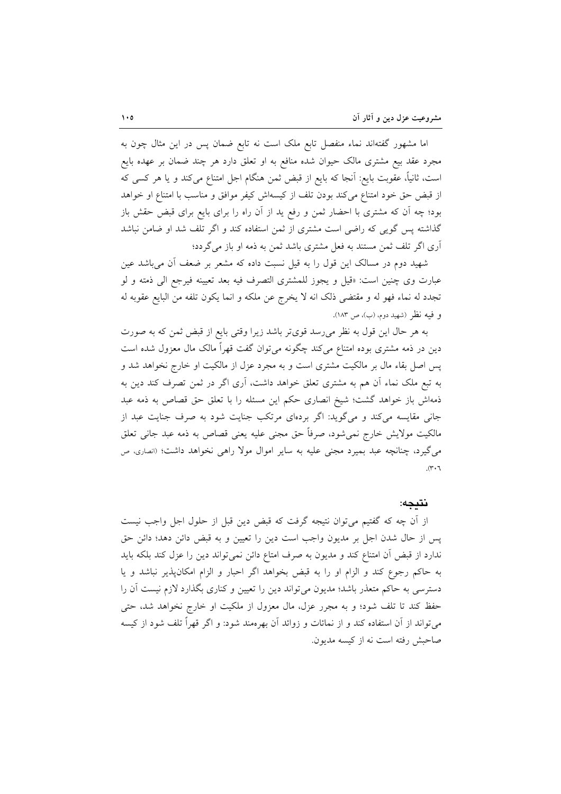اما مشهور گفتهاند نماء منفصل تابع ملک است نه تابع ضمان پس در این مثال چون به مجرد عقد بیع مشتری مالک حیوان شده منافع به او تعلق دارد هر چند ضمان بر عهده بایع است، ثانیاً، عقوبت بایع: آنجا که بایع از قبض ثمن هنگام اجل امتناع میکند و یا هر کسی که از قبض حق خود امتناع میکند بودن تلف از کیسهاش کیفر موافق و مناسب با امتناع او خواهد بود؛ چه آن که مشتری با احضار ثمن و رفع ید از آن راه را برای بایع برای قبض حقش باز گذاشته پس گویی که راضی است مشتری از ثمن استفاده کند و اگر تلف شد او ضامن نباشد آری اگر تلف ثمن مستند به فعل مشتری باشد ثمن به ذمه او باز میگردد؛

شهید دوم در مسالک این قول را به قیل نسبت داده که مشعر بر ضعف آن می باشد عین عبارت وى چنين است: «قيل و يجوز للمشترى التصرف فيه بعد تعيينه فيرجع الى ذمته و لو تجدد له نماء فهو له و مقتضى ذلك انه لا يخرج عن ملكه و انما يكون تلفه من البايع عقوبه له و فيه نظر (شهيد دوم، (ب)، ص ١٨٣).

به هر حال این قول به نظر میرسد قویتر باشد زیرا وقتی بایع از قبض ثمن که به صورت دین در ذمه مشتری بوده امتناع میکند چگونه میتوان گفت قهراً مالک مال معزول شده است پس اصل بقاء مال بر مالکیت مشتری است و به مجرد عزل از مالکیت او خارج نخواهد شد و به تبع ملک نماء آن هم به مشتری تعلق خواهد داشت، آری اگر در ثمن تصرف کند دین به ذمهاش باز خواهد گشت؛ شیخ انصاری حکم این مسئله را با تعلق حق قصاص به ذمه عبد جانی مقایسه میکند و میگوید: اگر بردهای مرتکب جنایت شود به صرف جنایت عبد از مالکیت مولایش خارج نمی شود، صرفاً حق مجنی علیه یعنی قصاص به ذمه عبد جانی تعلق می گیرد، چنانچه عبد بمیرد مجنی علیه به سایر اموال مولا راهی نخواهد داشت؛ (انصاری، ص  $\mathcal{N} \cdot \mathcal{N}$ 

#### نتىجە:

از اّن چه که گفتیم می توان نتیجه گرفت که قبض دین قبل از حلول اجل واجب نیست پس از حال شدن اجل بر مدیون واجب است دین را تعیین و به قبض دائن دهد؛ دائن حق ندارد از قبض أن امتناع كند و مديون به صرف امتاع دائن نمي تواند دين را عزل كند بلكه بايد به حاکم رجوع کند و الزام او را به قبض بخواهد اگر احبار و الزام امکان پذیر نباشد و یا دسترسی به حاکم متعذر باشد؛ مدیون می تواند دین را تعیین و کناری بگذارد لازم نیست آن را حفظ کند تا تلف شود؛ و به مجرر عزل، مال معزول از ملکیت او خارج نخواهد شد، حتى می تواند از آن استفاده کند و از نمائات و زوائد آن بهرهمند شود: و اگر قهراً تلف شود از کیسه صاحبش رفته است نه از کیسه مدیون.